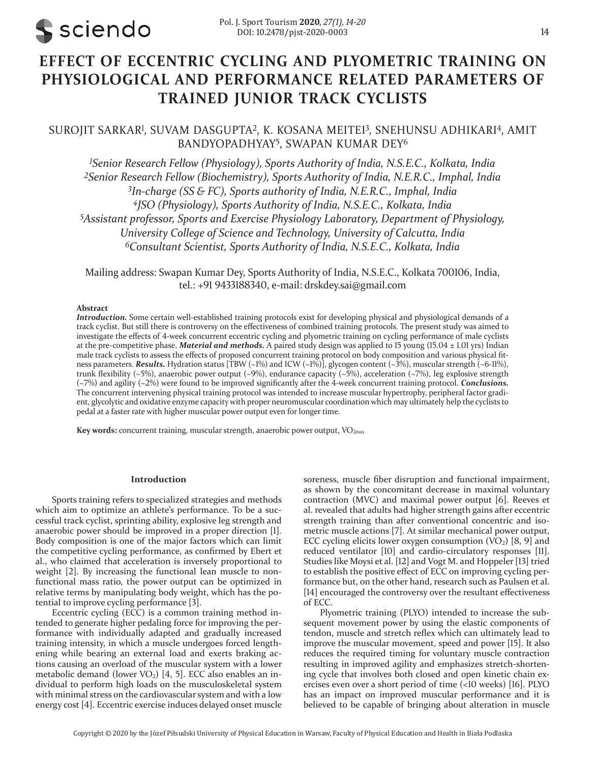# **EFFECT OF ECCENTRIC CYCLING AND PLYOMETRIC TRAINING ON PHYSIOLOGICAL AND PERFORMANCE RELATED PARAMETERS OF TRAINED JUNIOR TRACK CYCLISTS**

# SUROJIT SARKAR<sup>i</sup>, suvam dasgupta<sup>2</sup>, k. Kosana meitei<sup>3</sup>, snehunsu adhikari<sup>4</sup>, amit BANDYOPADHYAY5, SWAPAN KUMAR DEY<sup>6</sup>

*Senior Research Fellow (Physiology), Sports Authority of India, N.S.E.C., Kolkata, India Senior Research Fellow (Biochemistry), Sports Authority of India, N.E.R.C., Imphal, India In-charge (SS & FC), Sports authority of India, N.E.R.C., Imphal, India JSO (Physiology), Sports Authority of India, N.S.E.C., Kolkata, India Assistant professor, Sports and Exercise Physiology Laboratory, Department of Physiology, University College of Science and Technology, University of Calcutta, India Consultant Scientist, Sports Authority of India, N.S.E.C., Kolkata, India*

Mailing address: Swapan Kumar Dey, Sports Authority of India, N.S.E.C., Kolkata 700106, India, tel.: +91 9433188340, e-mail: drskdey.sai@gmail.com

#### **Abstract**

*Introduction.* Some certain well-established training protocols exist for developing physical and physiological demands of a track cyclist. But still there is controversy on the effectiveness of combined training protocols. The present study was aimed to investigate the effects of 4-week concurrent eccentric cycling and plyometric training on cycling performance of male cyclists at the pre-competitive phase. *Material and methods.* A paired study design was applied to 15 young (15.04 ± 1.01 yrs) Indian male track cyclists to assess the effects of proposed concurrent training protocol on body composition and various physical fitness parameters. *Results*. Hydration status [TBW (~1%) and ICW (~1%)], glycogen content (~3%), muscular strength (~6-11%), trunk flexibility (~5%), anaerobic power output (~9%), endurance capacity (~5%), acceleration (~7%), leg explosive strength (~7%) and agility (~2%) were found to be improved significantly after the 4-week concurrent training protocol. *Conclusions.* The concurrent intervening physical training protocol was intended to increase muscular hypertrophy, peripheral factor gradient, glycolytic and oxidative enzyme capacity with proper neuromuscular coordination which may ultimately help the cyclists to pedal at a faster rate with higher muscular power output even for longer time.

Key words: concurrent training, muscular strength, anaerobic power output, VO<sub>2max</sub>

# **Introduction**

Sports training refers to specialized strategies and methods which aim to optimize an athlete's performance. To be a successful track cyclist, sprinting ability, explosive leg strength and anaerobic power should be improved in a proper direction [1]. Body composition is one of the major factors which can limit the competitive cycling performance, as confirmed by Ebert et al., who claimed that acceleration is inversely proportional to weight [2]. By increasing the functional lean muscle to nonfunctional mass ratio, the power output can be optimized in relative terms by manipulating body weight, which has the potential to improve cycling performance [3].

Eccentric cycling (ECC) is a common training method intended to generate higher pedaling force for improving the performance with individually adapted and gradually increased training intensity, in which a muscle undergoes forced lengthening while bearing an external load and exerts braking actions causing an overload of the muscular system with a lower metabolic demand (lower  $VO<sub>2</sub>$ ) [4, 5]. ECC also enables an individual to perform high loads on the musculoskeletal system with minimal stress on the cardiovascular system and with a low energy cost [4]. Eccentric exercise induces delayed onset muscle

soreness, muscle fiber disruption and functional impairment, as shown by the concomitant decrease in maximal voluntary contraction (MVC) and maximal power output [6]. Reeves et al. revealed that adults had higher strength gains after eccentric strength training than after conventional concentric and isometric muscle actions [7]. At similar mechanical power output, ECC cycling elicits lower oxygen consumption  $(VO<sub>2</sub>)$  [8, 9] and reduced ventilator [10] and cardio-circulatory responses [11]. Studies like Moysi et al. [12] and Vogt M. and Hoppeler [13] tried to establish the positive effect of ECC on improving cycling performance but, on the other hand, research such as Paulsen et al. [14] encouraged the controversy over the resultant effectiveness of ECC.

Plyometric training (PLYO) intended to increase the subsequent movement power by using the elastic components of tendon, muscle and stretch reflex which can ultimately lead to improve the muscular movement, speed and power [15]. It also reduces the required timing for voluntary muscle contraction resulting in improved agility and emphasizes stretch-shortening cycle that involves both closed and open kinetic chain exercises even over a short period of time (<10 weeks) [16]. PLYO has an impact on improved muscular performance and it is believed to be capable of bringing about alteration in muscle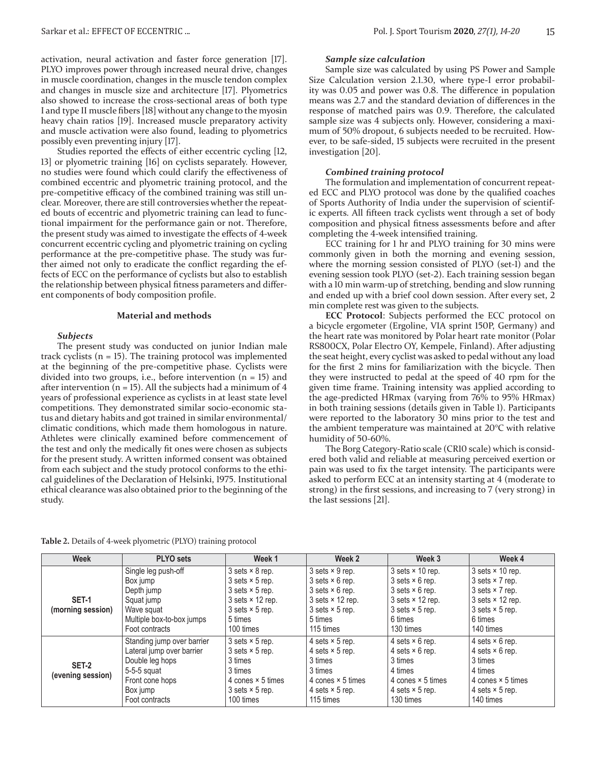activation, neural activation and faster force generation [17]. PLYO improves power through increased neural drive, changes in muscle coordination, changes in the muscle tendon complex and changes in muscle size and architecture [17]. Plyometrics also showed to increase the cross-sectional areas of both type I and type II muscle fibers [18] without any change to the myosin heavy chain ratios [19]. Increased muscle preparatory activity and muscle activation were also found, leading to plyometrics possibly even preventing injury [17].

Studies reported the effects of either eccentric cycling [12, 13] or plyometric training [16] on cyclists separately. However, no studies were found which could clarify the effectiveness of combined eccentric and plyometric training protocol, and the pre-competitive efficacy of the combined training was still unclear. Moreover, there are still controversies whether the repeated bouts of eccentric and plyometric training can lead to functional impairment for the performance gain or not. Therefore, the present study was aimed to investigate the effects of 4-week concurrent eccentric cycling and plyometric training on cycling performance at the pre-competitive phase. The study was further aimed not only to eradicate the conflict regarding the effects of ECC on the performance of cyclists but also to establish the relationship between physical fitness parameters and different components of body composition profile.

# **Material and methods**

# *Subjects*

The present study was conducted on junior Indian male track cyclists  $(n = 15)$ . The training protocol was implemented at the beginning of the pre-competitive phase. Cyclists were divided into two groups, i.e., before intervention  $(n = 15)$  and after intervention ( $n = 15$ ). All the subjects had a minimum of 4 years of professional experience as cyclists in at least state level competitions. They demonstrated similar socio-economic status and dietary habits and got trained in similar environmental/ climatic conditions, which made them homologous in nature. Athletes were clinically examined before commencement of the test and only the medically fit ones were chosen as subjects for the present study. A written informed consent was obtained from each subject and the study protocol conforms to the ethical guidelines of the Declaration of Helsinki, 1975. Institutional ethical clearance was also obtained prior to the beginning of the study.

## *Sample size calculation*

Sample size was calculated by using PS Power and Sample Size Calculation version 2.1.30, where type-I error probability was 0.05 and power was 0.8. The difference in population means was 2.7 and the standard deviation of differences in the response of matched pairs was 0.9. Therefore, the calculated sample size was 4 subjects only. However, considering a maximum of 50% dropout, 6 subjects needed to be recruited. However, to be safe-sided, 15 subjects were recruited in the present investigation [20].

# *Combined training protocol*

The formulation and implementation of concurrent repeated ECC and PLYO protocol was done by the qualified coaches of Sports Authority of India under the supervision of scientific experts. All fifteen track cyclists went through a set of body composition and physical fitness assessments before and after completing the 4-week intensified training.

ECC training for 1 hr and PLYO training for 30 mins were commonly given in both the morning and evening session, where the morning session consisted of PLYO (set-1) and the evening session took PLYO (set-2). Each training session began with a 10 min warm-up of stretching, bending and slow running and ended up with a brief cool down session. After every set,  $\overline{2}$ min complete rest was given to the subjects.

**ECC Protocol**: Subjects performed the ECC protocol on a bicycle ergometer (Ergoline, VIA sprint 150P, Germany) and the heart rate was monitored by Polar heart rate monitor (Polar RS800CX, Polar Electro OY, Kempele, Finland). After adjusting the seat height, every cyclist was asked to pedal without any load for the first 2 mins for familiarization with the bicycle. Then they were instructed to pedal at the speed of 40 rpm for the given time frame. Training intensity was applied according to the age-predicted HRmax (varying from 76% to 95% HRmax) in both training sessions (details given in Table 1). Participants were reported to the laboratory 30 mins prior to the test and the ambient temperature was maintained at 20°C with relative humidity of 50-60%.

The Borg Category-Ratio scale (CR10 scale) which is considered both valid and reliable at measuring perceived exertion or pain was used to fix the target intensity. The participants were asked to perform ECC at an intensity starting at 4 (moderate to strong) in the first sessions, and increasing to 7 (very strong) in the last sessions [21].

| <b>Week</b>       | <b>PLYO</b> sets           | Week 1                    | Week 2                                  | Week 3                    | Week 4                                 |
|-------------------|----------------------------|---------------------------|-----------------------------------------|---------------------------|----------------------------------------|
|                   | Single leg push-off        | $3$ sets $\times$ 8 rep.  | $3$ sets $\times$ 9 rep.                | $3$ sets $\times$ 10 rep. | $3$ sets $\times$ 10 rep.              |
|                   | Box jump                   | $3$ sets $\times$ 5 rep.  | $3$ sets $\times$ 6 rep.                | $3$ sets $\times$ 6 rep.  | $3 \text{ sets} \times 7 \text{ rep.}$ |
|                   | Depth jump                 | $3$ sets $\times$ 5 rep.  | $3$ sets $\times$ 6 rep.                | $3$ sets $\times$ 6 rep.  | $3 \text{ sets} \times 7 \text{ rep.}$ |
| SET-1             | Squat jump                 | $3$ sets $\times$ 12 rep. | $3$ sets $\times$ 12 rep.               | $3$ sets $\times$ 12 rep. | $3$ sets $\times$ 12 rep.              |
| (morning session) | Wave squat                 | $3$ sets $\times$ 5 rep.  | $3 \text{ sets} \times 5 \text{ rep}$ . | $3$ sets $\times$ 5 rep.  | $3$ sets $\times$ 5 rep.               |
|                   | Multiple box-to-box jumps  | 5 times                   | 5 times                                 | 6 times                   | 6 times                                |
|                   | Foot contracts             | 100 times                 | 115 times                               | 130 times                 | 140 times                              |
|                   | Standing jump over barrier | $3$ sets $\times$ 5 rep.  | 4 sets $\times$ 5 rep.                  | 4 sets $\times$ 6 rep.    | 4 sets $\times$ 6 rep.                 |
|                   | Lateral jump over barrier  | $3$ sets $\times$ 5 rep.  | 4 sets $\times$ 5 rep.                  | 4 sets $\times$ 6 rep.    | 4 sets $\times$ 6 rep.                 |
| <b>SET-2</b>      | Double leg hops            | 3 times                   | 3 times                                 | 3 times                   | 3 times                                |
| (evening session) | 5-5-5 squat                | 3 times                   | 3 times                                 | 4 times                   | 4 times                                |
|                   | Front cone hops            | 4 cones $\times$ 5 times  | 4 cones $\times$ 5 times                | 4 cones $\times$ 5 times  | 4 cones $\times$ 5 times               |
|                   | Box jump                   | $3$ sets $\times$ 5 rep.  | 4 sets $\times$ 5 rep.                  | 4 sets $\times$ 5 rep.    | 4 sets $\times$ 5 rep.                 |
|                   | Foot contracts             | 100 times                 | 115 times                               | 130 times                 | 140 times                              |

**Table 2.** Details of 4-week plyometric (PLYO) training protocol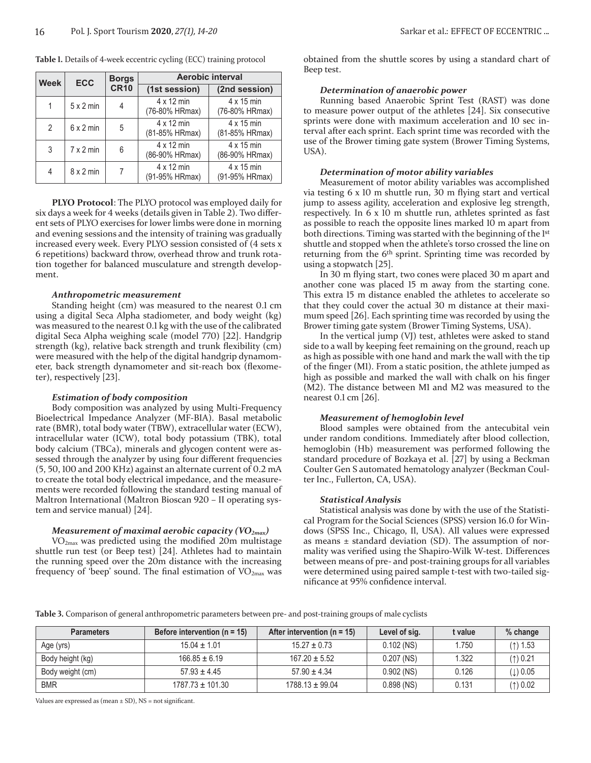| Week          | <b>ECC</b>       | <b>Borgs</b> | <b>Aerobic interval</b>             |                                     |  |  |
|---------------|------------------|--------------|-------------------------------------|-------------------------------------|--|--|
|               |                  | <b>CR10</b>  | (1st session)                       | (2nd session)                       |  |  |
|               | $5 \times 2$ min | 4            | $4 \times 12$ min<br>(76-80% HRmax) | $4 \times 15$ min<br>(76-80% HRmax) |  |  |
| $\mathcal{P}$ | $6 \times 2$ min | 5            | $4 \times 12$ min<br>(81-85% HRmax) | $4 \times 15$ min<br>(81-85% HRmax) |  |  |
| 3             | $7 \times 2$ min | 6            | $4 \times 12$ min<br>(86-90% HRmax) | $4 \times 15$ min<br>(86-90% HRmax) |  |  |
| 4             | $8 \times 2$ min |              | $4 \times 12$ min<br>(91-95% HRmax) | $4 \times 15$ min<br>(91-95% HRmax) |  |  |

**Table 1.** Details of 4-week eccentric cycling (ECC) training protocol

**PLYO Protocol**: The PLYO protocol was employed daily for six days a week for 4 weeks (details given in Table 2). Two different sets of PLYO exercises for lower limbs were done in morning and evening sessions and the intensity of training was gradually increased every week. Every PLYO session consisted of (4 sets x 6 repetitions) backward throw, overhead throw and trunk rotation together for balanced musculature and strength development.

#### *Anthropometric measurement*

Standing height (cm) was measured to the nearest 0.1 cm using a digital Seca Alpha stadiometer, and body weight (kg) was measured to the nearest 0.1 kg with the use of the calibrated digital Seca Alpha weighing scale (model 770) [22]. Handgrip strength (kg), relative back strength and trunk flexibility (cm) were measured with the help of the digital handgrip dynamometer, back strength dynamometer and sit-reach box (flexometer), respectively [23].

#### *Estimation of body composition*

Body composition was analyzed by using Multi-Frequency Bioelectrical Impedance Analyzer (MF-BIA). Basal metabolic rate (BMR), total body water (TBW), extracellular water (ECW), intracellular water (ICW), total body potassium (TBK), total body calcium (TBCa), minerals and glycogen content were assessed through the analyzer by using four different frequencies (5, 50, 100 and 200 KHz) against an alternate current of 0.2 mA to create the total body electrical impedance, and the measurements were recorded following the standard testing manual of Maltron International (Maltron Bioscan 920 – II operating system and service manual) [24].

#### *Measurement of maximal aerobic capacity (VO2max)*

VO2max was predicted using the modified 20m multistage shuttle run test (or Beep test) [24]. Athletes had to maintain the running speed over the 20m distance with the increasing frequency of 'beep' sound. The final estimation of  $VO<sub>2max</sub>$  was obtained from the shuttle scores by using a standard chart of Beep test.

#### *Determination of anaerobic power*

Running based Anaerobic Sprint Test (RAST) was done to measure power output of the athletes [24]. Six consecutive sprints were done with maximum acceleration and 10 sec interval after each sprint. Each sprint time was recorded with the use of the Brower timing gate system (Brower Timing Systems, USA).

#### *Determination of motor ability variables*

Measurement of motor ability variables was accomplished via testing 6 x 10 m shuttle run, 30 m flying start and vertical jump to assess agility, acceleration and explosive leg strength, respectively. In 6 x 10 m shuttle run, athletes sprinted as fast as possible to reach the opposite lines marked 10 m apart from both directions. Timing was started with the beginning of the 1st shuttle and stopped when the athlete's torso crossed the line on returning from the 6<sup>th</sup> sprint. Sprinting time was recorded by using a stopwatch [25].

In 30 m flying start, two cones were placed 30 m apart and another cone was placed 15 m away from the starting cone. This extra 15 m distance enabled the athletes to accelerate so that they could cover the actual 30 m distance at their maximum speed [26]. Each sprinting time was recorded by using the Brower timing gate system (Brower Timing Systems, USA).

In the vertical jump (VJ) test, athletes were asked to stand side to a wall by keeping feet remaining on the ground, reach up as high as possible with one hand and mark the wall with the tip of the finger (M1). From a static position, the athlete jumped as high as possible and marked the wall with chalk on his finger (M2). The distance between M1 and M2 was measured to the nearest 0.1 cm [26].

#### *Measurement of hemoglobin level*

Blood samples were obtained from the antecubital vein under random conditions. Immediately after blood collection, hemoglobin (Hb) measurement was performed following the standard procedure of Bozkaya et al. [27] by using a Beckman Coulter Gen S automated hematology analyzer (Beckman Coulter Inc., Fullerton, CA, USA).

#### *Statistical Analysis*

Statistical analysis was done by with the use of the Statistical Program for the Social Sciences (SPSS) version 16.0 for Windows (SPSS Inc., Chicago, Il, USA). All values were expressed as means  $\pm$  standard deviation (SD). The assumption of normality was verified using the Shapiro-Wilk W-test. Differences between means of pre- and post-training groups for all variables were determined using paired sample t-test with two-tailed significance at 95% confidence interval.

**Table 3.** Comparison of general anthropometric parameters between pre- and post-training groups of male cyclists

| <b>Parameters</b> | Before intervention ( $n = 15$ ) | After intervention ( $n = 15$ ) | Level of sig. | t value | % change            |
|-------------------|----------------------------------|---------------------------------|---------------|---------|---------------------|
| Age (yrs)         | $15.04 \pm 1.01$                 | $15.27 \pm 0.73$                | $0.102$ (NS)  | 1.750   | $(1)$ 1.53          |
| Body height (kg)  | $166.85 \pm 6.19$                | $167.20 \pm 5.52$               | $0.207$ (NS)  | 1.322   | $(1)$ 0.21          |
| Body weight (cm)  | $57.93 \pm 4.45$                 | $57.90 \pm 4.34$                | $0.902$ (NS)  | 0.126   | $(\downarrow)$ 0.05 |
| <b>BMR</b>        | $1787.73 \pm 101.30$             | $1788.13 \pm 99.04$             | $0.898$ (NS)  | 0.131   | $($ 1) 0.02         |

Values are expressed as (mean  $\pm$  SD), NS = not significant.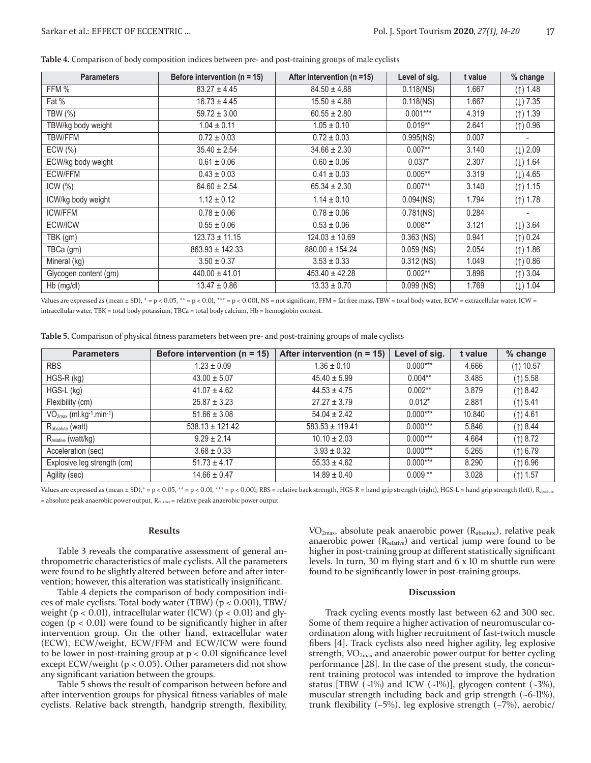|  |  | Table 4. Comparison of body composition indices between pre- and post-training groups of male cyclistri |  |
|--|--|---------------------------------------------------------------------------------------------------------|--|
|  |  |                                                                                                         |  |

| <b>Parameters</b>     | Before intervention ( $n = 15$ ) | After intervention ( $n = 15$ ) | Level of sig. | t value | % change                |
|-----------------------|----------------------------------|---------------------------------|---------------|---------|-------------------------|
| FFM %                 | $83.27 \pm 4.45$                 | $84.50 \pm 4.88$                | $0.118$ (NS)  | 1.667   | $($ $\uparrow$ $)$ 1.48 |
| Fat %                 | $16.73 \pm 4.45$                 | $15.50 \pm 4.88$                | $0.118$ (NS)  | 1.667   | $(\downarrow)$ 7.35     |
| TBW (%)               | $59.72 \pm 3.00$                 | $60.55 \pm 2.80$                | $0.001***$    | 4.319   | $($ $\uparrow$ $)$ 1.39 |
| TBW/kg body weight    | $1.04 \pm 0.11$                  | $1.05 \pm 0.10$                 | $0.019**$     | 2.641   | $($ $\uparrow)$ 0.96    |
| TBW/FFM               | $0.72 \pm 0.03$                  | $0.72 \pm 0.03$                 | $0.995$ (NS)  | 0.007   |                         |
| ECW (%)               | $35.40 \pm 2.54$                 | $34.66 \pm 2.30$                | $0.007**$     | 3.140   | $(\downarrow)$ 2.09     |
| ECW/kg body weight    | $0.61 \pm 0.06$                  | $0.60 \pm 0.06$                 | $0.037*$      | 2.307   | $(\downarrow)$ 1.64     |
| <b>ECW/FFM</b>        | $0.43 \pm 0.03$                  | $0.41 \pm 0.03$                 | $0.005**$     | 3.319   | $(\downarrow)$ 4.65     |
| $ICW (\%)$            | $64.60 \pm 2.54$                 | $65.34 \pm 2.30$                | $0.007**$     | 3.140   | $($ $\uparrow$ $)$ 1.15 |
| ICW/kg body weight    | $1.12 \pm 0.12$                  | $1.14 \pm 0.10$                 | $0.094$ (NS)  | 1.794   | $($ $\uparrow$ $)$ 1.78 |
| <b>ICW/FFM</b>        | $0.78 \pm 0.06$                  | $0.78 \pm 0.06$                 | $0.781$ (NS)  | 0.284   |                         |
| ECW/ICW               | $0.55 \pm 0.06$                  | $0.53 \pm 0.06$                 | $0.008**$     | 3.121   | $(\downarrow)$ 3.64     |
| TBK (gm)              | $123.73 \pm 11.15$               | $124.03 \pm 10.69$              | $0.363$ (NS)  | 0.941   | $($ $\uparrow)$ 0.24    |
| TBCa (gm)             | $863.93 \pm 142.33$              | $880.00 \pm 154.24$             | $0.059$ (NS)  | 2.054   | $($ $\uparrow$ $)$ 1.86 |
| Mineral (kg)          | $3.50 \pm 0.37$                  | $3.53 \pm 0.33$                 | $0.312$ (NS)  | 1.049   | $($ $\uparrow)$ 0.86    |
| Glycogen content (gm) | $440.00 \pm 41.01$               | $453.40 \pm 42.28$              | $0.002**$     | 3.896   | $($ $\uparrow$ $)$ 3.04 |
| $Hb$ (mg/dl)          | $13.47 \pm 0.86$                 | $13.33 \pm 0.70$                | $0.099$ (NS)  | 1.769   | $(\downarrow)$ 1.04     |

Values are expressed as (mean ± SD),  $* = p < 0.05$ ,  $** = p < 0.01$ ,  $*** = p < 0.001$ , NS = not significant, FFM = fat free mass, TBW = total body water, ECW = extracellular water, ICW = intracellular water, TBK = total body potassium, TBCa = total body calcium, Hb = hemoglobin content.

**Table 5.** Comparison of physical fitness parameters between pre- and post-training groups of male cyclists

| <b>Parameters</b>               | Before intervention ( $n = 15$ ) | After intervention ( $n = 15$ ) | Level of sig. | t value | % change                 |
|---------------------------------|----------------------------------|---------------------------------|---------------|---------|--------------------------|
| <b>RBS</b>                      | $1.23 \pm 0.09$                  | $1.36 \pm 0.10$                 | $0.000***$    | 4.666   | $($ $\uparrow$ $)$ 10.57 |
| $HGS-R$ (kg)                    | $43.00 \pm 5.07$                 | $45.40 \pm 5.99$                | $0.004**$     | 3.485   | $($ $\uparrow$ $)$ 5.58  |
| HGS-L (kg)                      | $41.07 \pm 4.62$                 | $44.53 \pm 4.75$                | $0.002**$     | 3.879   | $($ $\uparrow$ $)$ 8.42  |
| Flexibility (cm)                | $25.87 \pm 3.23$                 | $27.27 \pm 3.79$                | $0.012*$      | 2.881   | (†) 5.41                 |
| $VO2max$ (ml.kg-1.min-1)        | $51.66 \pm 3.08$                 | $54.04 \pm 2.42$                | $0.000***$    | 10.840  | $($ $\uparrow$ $)$ 4.61  |
| $R_{absolute}$ (watt)           | $538.13 \pm 121.42$              | $583.53 \pm 119.41$             | $0.000***$    | 5.846   | $($ $\uparrow$ $)$ 8.44  |
| R <sub>relative</sub> (watt/kg) | $9.29 \pm 2.14$                  | $10.10 \pm 2.03$                | $0.000***$    | 4.664   | (1) 8.72                 |
| Acceleration (sec)              | $3.68 \pm 0.33$                  | $3.93 \pm 0.32$                 | $0.000***$    | 5.265   | $($ $\uparrow$ $)$ 6.79  |
| Explosive leg strength (cm)     | $51.73 \pm 4.17$                 | $55.33 \pm 4.62$                | $0.000***$    | 8.290   | $($ $\uparrow$ $)$ 6.96  |
| Agility (sec)                   | $14.66 \pm 0.47$                 | $14.89 \pm 0.40$                | $0.009**$     | 3.028   | (†) 1.57                 |

Values are expressed as (mean ± SD), \* = p < 0.05, \*\* = p < 0.01, \*\*\* = p < 0.001; RBS = relative back strength, HGS-R = hand grip strength (left), HGS-L = hand grip strength (left), Rabsolute  $=$  absolute peak anaerobic power output,  $R_{relative}$  = relative peak anaerobic power output.

#### **Results**

Table 3 reveals the comparative assessment of general anthropometric characteristics of male cyclists. All the parameters were found to be slightly altered between before and after intervention; however, this alteration was statistically insignificant.

Table 4 depicts the comparison of body composition indices of male cyclists. Total body water (TBW) ( $p < 0.001$ ), TBW/ weight ( $p < 0.01$ ), intracellular water (ICW) ( $p < 0.01$ ) and glycogen ( $p < 0.01$ ) were found to be significantly higher in after intervention group. On the other hand, extracellular water (ECW), ECW/weight, ECW/FFM and ECW/ICW were found to be lower in post-training group at  $p < 0.01$  significance level except ECW/weight (p < 0.05). Other parameters did not show any significant variation between the groups.

Table 5 shows the result of comparison between before and after intervention groups for physical fitness variables of male cyclists. Relative back strength, handgrip strength, flexibility,  $VO<sub>2max</sub>$ , absolute peak anaerobic power  $(R<sub>absolute</sub>)$ , relative peak anaerobic power  $(R_{relative})$  and vertical jump were found to be higher in post-training group at different statistically significant levels. In turn, 30 m flying start and 6 x 10 m shuttle run were found to be significantly lower in post-training groups.

#### **Discussion**

Track cycling events mostly last between 62 and 300 sec. Some of them require a higher activation of neuromuscular coordination along with higher recruitment of fast-twitch muscle fibers [4]. Track cyclists also need higher agility, leg explosive strength,  $VO_{2max}$  and anaerobic power output for better cycling performance [28]. In the case of the present study, the concurrent training protocol was intended to improve the hydration status [TBW  $(-1%)$  and ICW  $(-1%)$ ], glycogen content  $(-3%)$ , muscular strength including back and grip strength (~6-11%), trunk flexibility (~5%), leg explosive strength (~7%), aerobic/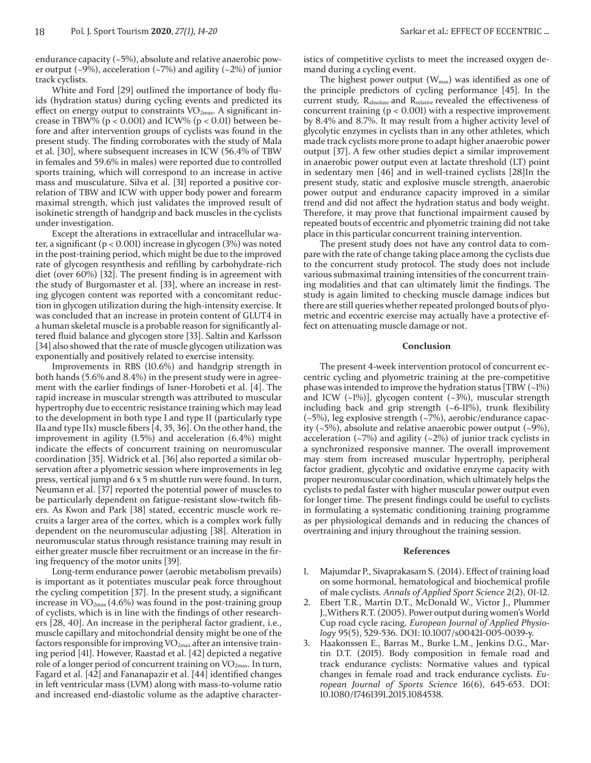endurance capacity (~5%), absolute and relative anaerobic power output ( $\sim$ 9%), acceleration ( $\sim$ 7%) and agility ( $\sim$ 2%) of junior track cyclists.

White and Ford [29] outlined the importance of body fluids (hydration status) during cycling events and predicted its effect on energy output to constraints  $VO<sub>2max</sub>$ . A significant increase in TBW% ( $p < 0.001$ ) and ICW% ( $p < 0.01$ ) between before and after intervention groups of cyclists was found in the present study. The finding corroborates with the study of Mala et al. [30], where subsequent increases in ICW (56.4% of TBW in females and 59.6% in males) were reported due to controlled sports training, which will correspond to an increase in active mass and musculature. Silva et al. [31] reported a positive correlation of TBW and ICW with upper body power and forearm maximal strength, which just validates the improved result of isokinetic strength of handgrip and back muscles in the cyclists under investigation.

Except the alterations in extracellular and intracellular water, a significant ( $p < 0.001$ ) increase in glycogen (3%) was noted in the post-training period, which might be due to the improved rate of glycogen resynthesis and refilling by carbohydrate-rich diet (over 60%) [32]. The present finding is in agreement with the study of Burgomaster et al. [33], where an increase in resting glycogen content was reported with a concomitant reduction in glycogen utilization during the high-intensity exercise. It was concluded that an increase in protein content of GLUT4 in a human skeletal muscle is a probable reason for significantly altered fluid balance and glycogen store [33]. Saltin and Karlsson [34] also showed that the rate of muscle glycogen utilization was exponentially and positively related to exercise intensity.

Improvements in RBS (10.6%) and handgrip strength in both hands (5.6% and 8.4%) in the present study were in agreement with the earlier findings of Isner-Horobeti et al. [4]. The rapid increase in muscular strength was attributed to muscular hypertrophy due to eccentric resistance training which may lead to the development in both type I and type II (particularly type IIa and type IIx) muscle fibers [4, 35, 36]. On the other hand, the improvement in agility (1.5%) and acceleration (6.4%) might indicate the effects of concurrent training on neuromuscular coordination [35]. Widrick et al. [36] also reported a similar observation after a plyometric session where improvements in leg press, vertical jump and 6 x 5 m shuttle run were found. In turn, Neumann et al. [37] reported the potential power of muscles to be particularly dependent on fatigue-resistant slow-twitch fibers. As Kwon and Park [38] stated, eccentric muscle work recruits a larger area of the cortex, which is a complex work fully dependent on the neuromuscular adjusting [38]. Alteration in neuromuscular status through resistance training may result in either greater muscle fiber recruitment or an increase in the firing frequency of the motor units [39].

Long-term endurance power (aerobic metabolism prevails) is important as it potentiates muscular peak force throughout the cycling competition [37]. In the present study, a significant increase in  $VO_{2max}(4.6\%)$  was found in the post-training group of cyclists, which is in line with the findings of other researchers [28, 40]. An increase in the peripheral factor gradient, i.e., muscle capillary and mitochondrial density might be one of the factors responsible for improving VO<sub>2max</sub> after an intensive training period [41]. However, Raastad et al. [42] depicted a negative role of a longer period of concurrent training on  $VO_{2max}$ . In turn, Fagard et al. [42] and Fananapazir et al. [44] identified changes in left ventricular mass (LVM) along with mass-to-volume ratio and increased end-diastolic volume as the adaptive characteristics of competitive cyclists to meet the increased oxygen demand during a cycling event.

The highest power output  $(W_{max})$  was identified as one of the principle predictors of cycling performance [45]. In the current study, Rabsolute and Rrelative revealed the effectiveness of concurrent training  $(p < 0.001)$  with a respective improvement by 8.4% and 8.7%. It may result from a higher activity level of glycolytic enzymes in cyclists than in any other athletes, which made track cyclists more prone to adapt higher anaerobic power output [37]. A few other studies depict a similar improvement in anaerobic power output even at lactate threshold (LT) point in sedentary men [46] and in well-trained cyclists [28]In the present study, static and explosive muscle strength, anaerobic power output and endurance capacity improved in a similar trend and did not affect the hydration status and body weight. Therefore, it may prove that functional impairment caused by repeated bouts of eccentric and plyometric training did not take place in this particular concurrent training intervention.

The present study does not have any control data to compare with the rate of change taking place among the cyclists due to the concurrent study protocol. The study does not include various submaximal training intensities of the concurrent training modalities and that can ultimately limit the findings. The study is again limited to checking muscle damage indices but there are still queries whether repeated prolonged bouts of plyometric and eccentric exercise may actually have a protective effect on attenuating muscle damage or not.

# **Conclusion**

The present 4-week intervention protocol of concurrent eccentric cycling and plyometric training at the pre-competitive phase was intended to improve the hydration status [TBW (~1%) and ICW  $(-1\%)$ ], glycogen content  $(-3\%)$ , muscular strength including back and grip strength (~6-11%), trunk flexibility (~5%), leg explosive strength (~7%), aerobic/endurance capacity  $(-5\%)$ , absolute and relative anaerobic power output  $(-9\%)$ , acceleration  $(-7%)$  and agility  $(-2%)$  of junior track cyclists in a synchronized responsive manner. The overall improvement may stem from increased muscular hypertrophy, peripheral factor gradient, glycolytic and oxidative enzyme capacity with proper neuromuscular coordination, which ultimately helps the cyclists to pedal faster with higher muscular power output even for longer time. The present findings could be useful to cyclists in formulating a systematic conditioning training programme as per physiological demands and in reducing the chances of overtraining and injury throughout the training session.

#### **References**

- 1. Majumdar P., Sivaprakasam S. (2014). Effect of training load on some hormonal, hematological and biochemical profile of male cyclists. *Annals of Applied Sport Science* 2(2), 01-12.
- 2. Ebert T.R., Martin D.T., McDonald W., Victor J., Plummer J.,Withers R.T. (2005). Power output during women's World Cup road cycle racing. *European Journal of Applied Physiology* 95(5), 529-536. DOI: 10.1007/s00421-005-0039-y.
- 3. Haakonssen E., Barras M., Burke L.M., Jenkins D.G., Martin D.T. (2015). Body composition in female road and track endurance cyclists: Normative values and typical changes in female road and track endurance cyclists. *European Journal of Sports Science* 16(6), 645-653. DOI: 10.1080/17461391.2015.1084538.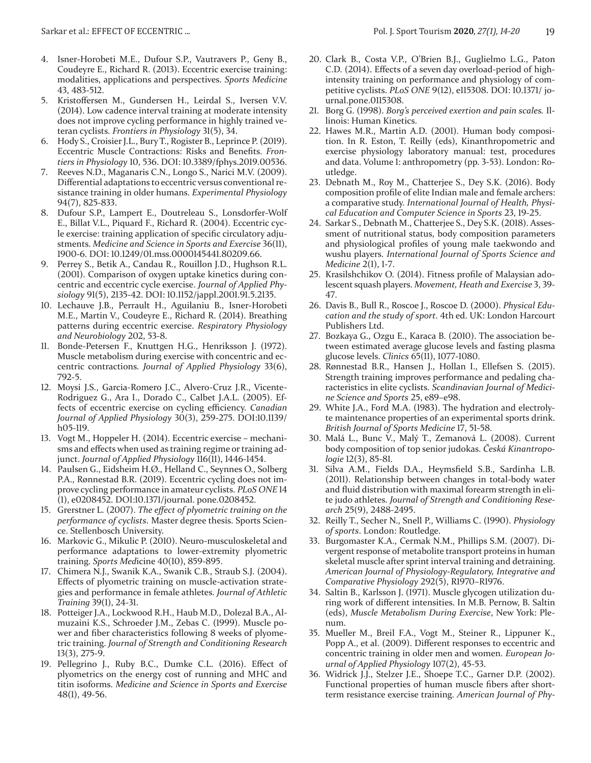- 4. Isner-Horobeti M.E., Dufour S.P., Vautravers P., Geny B., Coudeyre E., Richard R. (2013). Eccentric exercise training: modalities, applications and perspectives. *Sports Medicine* 43, 483-512.
- 5. Kristoffersen M., Gundersen H., Leirdal S., Iversen V.V. (2014). Low cadence interval training at moderate intensity does not improve cycling performance in highly trained veteran cyclists. *Frontiers in Physiology* 31(5), 34.
- 6. Hody S., Croisier J.L., Bury T., Rogister B., Leprince P. (2019). Eccentric Muscle Contractions: Risks and Benefits. *Frontiers in Physiology* 10, 536. DOI: 10.3389/fphys.2019.00536.
- 7. Reeves N.D., Maganaris C.N., Longo S., Narici M.V. (2009). Differential adaptations to eccentric versus conventional resistance training in older humans. *Experimental Physiology*  94(7), 825-833.
- 8. Dufour S.P., Lampert E., Doutreleau S., Lonsdorfer-Wolf E., Billat V.L., Piquard F., Richard R. (2004). Eccentric cycle exercise: training application of specific circulatory adjustments. *Medicine and Science in Sports and Exercise* 36(11), 1900-6. DOI: 10.1249/01.mss.0000145441.80209.66.
- 9. Perrey S., Betik A., Candau R., Rouillon J.D., Hughson R.L. (2001). Comparison of oxygen uptake kinetics during concentric and eccentric cycle exercise. *Journal of Applied Physiology* 91(5), 2135-42. DOI: 10.1152/jappl.2001.91.5.2135.
- 10. Lechauve J.B., Perrault H., Aguilaniu B., Isner-Horobeti M.E., Martin V., Coudeyre E., Richard R. (2014). Breathing patterns during eccentric exercise. *Respiratory Physiology and Neurobiology* 202, 53-8.
- 11. Bonde-Petersen F., Knuttgen H.G., Henriksson J. (1972). Muscle metabolism during exercise with concentric and eccentric contractions. *Journal of Applied Physiology* 33(6), 792-5.
- 12. Moysi J.S., Garcia-Romero J.C., Alvero-Cruz J.R., Vicente-Rodriguez G., Ara I., Dorado C., Calbet J.A.L. (2005). Effects of eccentric exercise on cycling efficiency. *Canadian Journal of Applied Physiology* 30(3), 259-275. DOI:10.1139/ h05-119.
- 13. Vogt M., Hoppeler H. (2014). Eccentric exercise mechanisms and effects when used as training regime or training adjunct. *Journal of Applied Physiology* 116(11), 1446-1454.
- 14. Paulsen G., Eidsheim H.Ø., Helland C., Seynnes O., Solberg P.A., Rønnestad B.R. (2019). Eccentric cycling does not improve cycling performance in amateur cyclists. *PLoS ONE* 14 (1), e0208452. DOI:10.1371/journal. pone.0208452.
- 15. Grerstner L. (2007). *The effect of plyometric training on the performance of cyclists*. Master degree thesis. Sports Science. Stellenbosch University.
- 16. Markovic G., Mikulic P. (2010). Neuro-musculoskeletal and performance adaptations to lower-extremity plyometric training. *Sports Med*icine 40(10), 859-895.
- 17. Chimera N.J., Swanik K.A., Swanik C.B., Straub S.J. (2004). Effects of plyometric training on muscle-activation strategies and performance in female athletes. *Journal of Athletic Training* 39(1), 24-31.
- 18. Potteiger J.A., Lockwood R.H., Haub M.D., Dolezal B.A., Almuzaini K.S., Schroeder J.M., Zebas C. (1999). Muscle power and fiber characteristics following 8 weeks of plyometric training. *Journal of Strength and Conditioning Research*  13(3), 275-9.
- 19. Pellegrino J., Ruby B.C., Dumke C.L. (2016). Effect of plyometrics on the energy cost of running and MHC and titin isoforms. *Medicine and Science in Sports and Exercise* 48(1), 49-56.
- 20. Clark B., Costa V.P., O'Brien B.J., Guglielmo L.G., Paton C.D. (2014). Effects of a seven day overload-period of highintensity training on performance and physiology of competitive cyclists. *PLoS ONE* 9(12), e115308. DOI: 10.1371/ journal.pone.0115308.
- 21. Borg G. (1998). *Borg's perceived exertion and pain scales.* Illinois: Human Kinetics.
- 22. Hawes M.R., Martin A.D. (2001). Human body composition. In R. Eston, T. Reilly (eds), Kinanthropometric and exercise physiology laboratory manual: test, procedures and data. Volume 1: anthropometry (pp. 3-53). London: Routledge.
- 23. Debnath M., Roy M., Chatterjee S., Dey S.K. (2016). Body composition profile of elite Indian male and female archers: a comparative study. *International Journal of Health, Physical Education and Computer Science in Sports* 23, 19-25.
- 24. Sarkar S., Debnath M., Chatterjee S., Dey S.K. (2018). Assessment of nutritional status, body composition parameters and physiological profiles of young male taekwondo and wushu players. *International Journal of Sports Science and Medicine* 2(1), 1-7.
- 25. Krasilshchikov O. (2014). Fitness profile of Malaysian adolescent squash players. *Movement, Heath and Exercise* 3, 39- 47.
- 26. Davis B., Bull R., Roscoe J., Roscoe D. (2000). *Physical Education and the study of sport*. 4th ed. UK: London Harcourt Publishers Ltd.
- 27. Bozkaya G., Ozgu E., Karaca B. (2010). The association between estimated average glucose levels and fasting plasma glucose levels. *Clinics* 65(11), 1077-1080.
- 28. Rønnestad B.R., Hansen J., Hollan I., Ellefsen S. (2015). Strength training improves performance and pedaling characteristics in elite cyclists. *Scandinavian Journal of Medicine Science and Sports* 25, e89–e98.
- 29. White J.A., Ford M.A. (1983). The hydration and electrolyte maintenance properties of an experimental sports drink. *British Journal of Sports Medicine* 17, 51-58.
- 30. Malá L., Bunc V., Malý T., Zemanová L. (2008). Current body composition of top senior judokas. *Česká Kinantropologie* 12(3), 85-81.
- 31. Silva A.M., Fields D.A., Heymsfield S.B., Sardinha L.B. (2011). Relationship between changes in total-body water and fluid distribution with maximal forearm strength in elite judo athletes. *Journal of Strength and Conditioning Research* 25(9), 2488-2495.
- 32. Reilly T., Secher N., Snell P., Williams C. (1990). *Physiology of sports*. London: Routledge.
- 33. Burgomaster K.A., Cermak N.M., Phillips S.M. (2007). Divergent response of metabolite transport proteins in human skeletal muscle after sprint interval training and detraining. *American Journal of Physiology-Regulatory, Integrative and Comparative Physiology* 292(5), R1970–R1976.
- 34. Saltin B., Karlsson J. (1971). Muscle glycogen utilization during work of different intensities. In M.B. Pernow, B. Saltin (eds), *Muscle Metabolism During Exercise*, New York: Plenum.
- 35. Mueller M., Breil F.A., Vogt M., Steiner R., Lippuner K., Popp A., et al. (2009). Different responses to eccentric and concentric training in older men and women. *European Journal of Applied Physiology* 107(2), 45-53.
- 36. Widrick J.J., Stelzer J.E., Shoepe T.C., Garner D.P. (2002). Functional properties of human muscle fibers after shortterm resistance exercise training. *American Journal of Phy-*